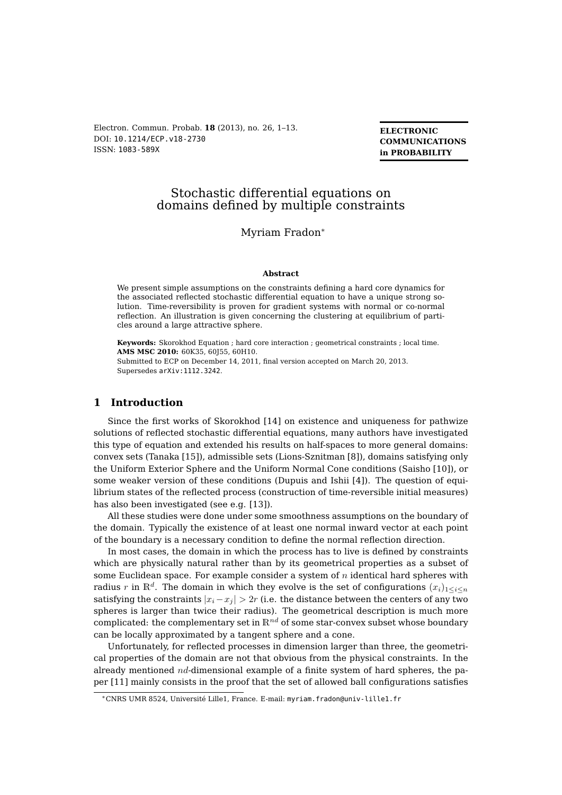Electron. Commun. Probab. **18** (2013), no. 26, 1[–13.](#page-12-0) DOI: [10.1214/ECP.v18-2730](http://dx.doi.org/10.1214/ECP.v18-2730) ISSN: [1083-589X](http://ecp.ejpecp.org/)

**ELECTRONIC COMMUNICATIONS in PROBABILITY**

# Stochastic differential equations on domains defined by multiple constraints

## Myriam Fradon<sup>∗</sup>

#### **Abstract**

We present simple assumptions on the constraints defining a hard core dynamics for the associated reflected stochastic differential equation to have a unique strong solution. Time-reversibility is proven for gradient systems with normal or co-normal reflection. An illustration is given concerning the clustering at equilibrium of particles around a large attractive sphere.

**Keywords:** Skorokhod Equation ; hard core interaction ; geometrical constraints ; local time. **AMS MSC 2010:** 60K35, 60J55, 60H10. Submitted to ECP on December 14, 2011, final version accepted on March 20, 2013. Supersedes [arXiv:1112.3242](http://arXiv.org/abs/1112.3242).

# **1 Introduction**

Since the first works of Skorokhod [\[14\]](#page-12-1) on existence and uniqueness for pathwize solutions of reflected stochastic differential equations, many authors have investigated this type of equation and extended his results on half-spaces to more general domains: convex sets (Tanaka [\[15\]](#page-12-2)), admissible sets (Lions-Sznitman [\[8\]](#page-12-3)), domains satisfying only the Uniform Exterior Sphere and the Uniform Normal Cone conditions (Saisho [\[10\]](#page-12-4)), or some weaker version of these conditions (Dupuis and Ishii [\[4\]](#page-12-5)). The question of equilibrium states of the reflected process (construction of time-reversible initial measures) has also been investigated (see e.g. [\[13\]](#page-12-6)).

All these studies were done under some smoothness assumptions on the boundary of the domain. Typically the existence of at least one normal inward vector at each point of the boundary is a necessary condition to define the normal reflection direction.

In most cases, the domain in which the process has to live is defined by constraints which are physically natural rather than by its geometrical properties as a subset of some Euclidean space. For example consider a system of  $n$  identical hard spheres with radius  $r$  in  $\mathbb{R}^d.$  The domain in which they evolve is the set of configurations  $(x_i)_{1\leq i\leq n}$ satisfying the constraints  $|x_i - x_j| > 2r$  (i.e. the distance between the centers of any two spheres is larger than twice their radius). The geometrical description is much more complicated: the complementary set in  $\mathbb{R}^{nd}$  of some star-convex subset whose boundary can be locally approximated by a tangent sphere and a cone.

Unfortunately, for reflected processes in dimension larger than three, the geometrical properties of the domain are not that obvious from the physical constraints. In the already mentioned  $nd$ -dimensional example of a finite system of hard spheres, the paper [\[11\]](#page-12-7) mainly consists in the proof that the set of allowed ball configurations satisfies

<sup>∗</sup>CNRS UMR 8524, Université Lille1, France. E-mail: [myriam.fradon@univ-lille1.fr](mailto:myriam.fradon@univ-lille1.fr)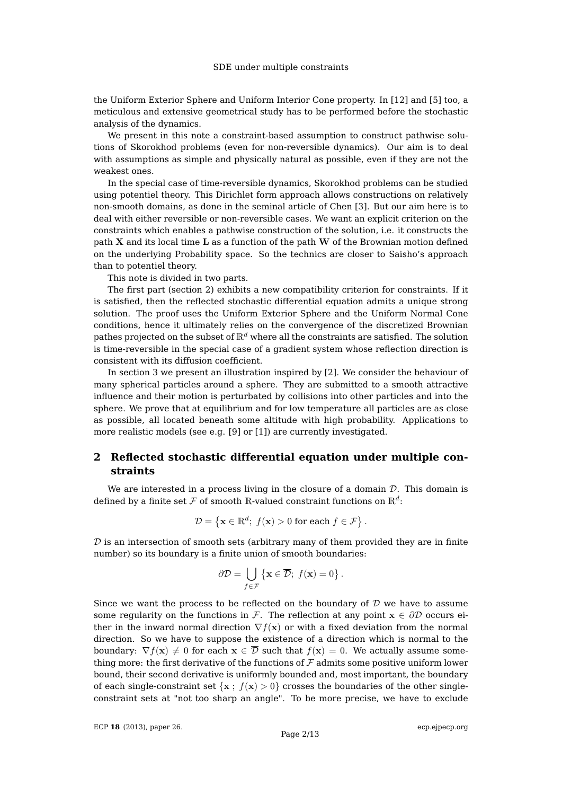the Uniform Exterior Sphere and Uniform Interior Cone property. In [\[12\]](#page-12-8) and [\[5\]](#page-12-9) too, a meticulous and extensive geometrical study has to be performed before the stochastic analysis of the dynamics.

We present in this note a constraint-based assumption to construct pathwise solutions of Skorokhod problems (even for non-reversible dynamics). Our aim is to deal with assumptions as simple and physically natural as possible, even if they are not the weakest ones.

In the special case of time-reversible dynamics, Skorokhod problems can be studied using potentiel theory. This Dirichlet form approach allows constructions on relatively non-smooth domains, as done in the seminal article of Chen [\[3\]](#page-12-10). But our aim here is to deal with either reversible or non-reversible cases. We want an explicit criterion on the constraints which enables a pathwise construction of the solution, i.e. it constructs the path X and its local time L as a function of the path W of the Brownian motion defined on the underlying Probability space. So the technics are closer to Saisho's approach than to potentiel theory.

This note is divided in two parts.

The first part (section [2\)](#page-1-0) exhibits a new compatibility criterion for constraints. If it is satisfied, then the reflected stochastic differential equation admits a unique strong solution. The proof uses the Uniform Exterior Sphere and the Uniform Normal Cone conditions, hence it ultimately relies on the convergence of the discretized Brownian pathes projected on the subset of  $\mathbb{R}^d$  where all the constraints are satisfied. The solution is time-reversible in the special case of a gradient system whose reflection direction is consistent with its diffusion coefficient.

In section [3](#page-6-0) we present an illustration inspired by [\[2\]](#page-12-11). We consider the behaviour of many spherical particles around a sphere. They are submitted to a smooth attractive influence and their motion is perturbated by collisions into other particles and into the sphere. We prove that at equilibrium and for low temperature all particles are as close as possible, all located beneath some altitude with high probability. Applications to more realistic models (see e.g. [\[9\]](#page-12-12) or [\[1\]](#page-12-13)) are currently investigated.

# <span id="page-1-0"></span>**2 Reflected stochastic differential equation under multiple constraints**

We are interested in a process living in the closure of a domain  $D$ . This domain is defined by a finite set  ${\mathcal F}$  of smooth  ${\mathbb R}$ -valued constraint functions on  ${\mathbb R}^d$ :

$$
\mathcal{D} = \left\{ \mathbf{x} \in \mathbb{R}^d; \ f(\mathbf{x}) > 0 \text{ for each } f \in \mathcal{F} \right\}.
$$

 $D$  is an intersection of smooth sets (arbitrary many of them provided they are in finite number) so its boundary is a finite union of smooth boundaries:

$$
\partial \mathcal{D} = \bigcup_{f \in \mathcal{F}} \left\{ \mathbf{x} \in \overline{\mathcal{D}}; \ f(\mathbf{x}) = 0 \right\}.
$$

Since we want the process to be reflected on the boundary of  $D$  we have to assume some regularity on the functions in F. The reflection at any point  $x \in \partial \mathcal{D}$  occurs either in the inward normal direction  $\nabla f(\mathbf{x})$  or with a fixed deviation from the normal direction. So we have to suppose the existence of a direction which is normal to the boundary:  $\nabla f(\mathbf{x}) \neq 0$  for each  $\mathbf{x} \in \overline{\mathcal{D}}$  such that  $f(\mathbf{x}) = 0$ . We actually assume something more: the first derivative of the functions of  $\mathcal F$  admits some positive uniform lower bound, their second derivative is uniformly bounded and, most important, the boundary of each single-constraint set  $\{x : f(x) > 0\}$  crosses the boundaries of the other singleconstraint sets at "not too sharp an angle". To be more precise, we have to exclude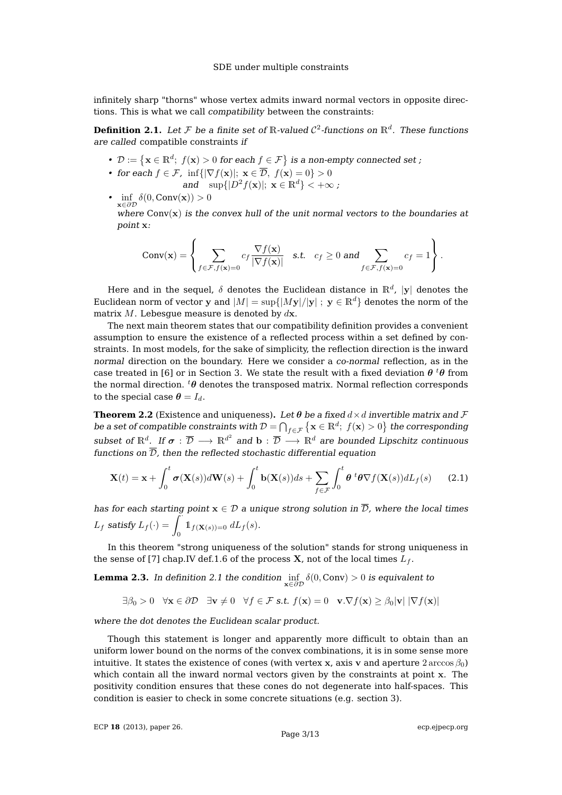infinitely sharp "thorns" whose vertex admits inward normal vectors in opposite directions. This is what we call compatibility between the constraints:

<span id="page-2-0"></span>**Definition 2.1.** Let F be a finite set of R-valued  $\mathcal{C}^2$ -functions on  $\mathbb{R}^d$ . These functions are called compatible constraints if

- $\mathcal{D} := \{ \mathbf{x} \in \mathbb{R}^d; f(\mathbf{x}) > 0 \text{ for each } f \in \mathcal{F} \}$  is a non-empty connected set ;
- for each  $f \in \mathcal{F}$ , inf $\{|\nabla f(\mathbf{x})|; \mathbf{x} \in \overline{\mathcal{D}}, f(\mathbf{x}) = 0\} > 0$ and  $\sup\{|D^2f(\mathbf{x})|;\ \mathbf{x}\in\mathbb{R}^d\}<+\infty$ ;
- $\inf_{\mathbf{x} \in \partial \mathcal{D}} \delta(0, \text{Conv}(\mathbf{x})) > 0$

where  $Conv(x)$  is the convex hull of the unit normal vectors to the boundaries at point x:

$$
Conv(\mathbf{x}) = \left\{ \sum_{f \in \mathcal{F}, f(\mathbf{x}) = 0} c_f \frac{\nabla f(\mathbf{x})}{|\nabla f(\mathbf{x})|} \quad \text{s.t.} \quad c_f \ge 0 \text{ and } \sum_{f \in \mathcal{F}, f(\mathbf{x}) = 0} c_f = 1 \right\}.
$$

Here and in the sequel,  $\delta$  denotes the Euclidean distance in  $\mathbb{R}^d$ ,  $|\mathbf{y}|$  denotes the Euclidean norm of vector y and  $|M| = \sup\{|My|/|y|$ ;  $y \in \mathbb{R}^d\}$  denotes the norm of the matrix  $M$ . Lebesque measure is denoted by  $d\mathbf{x}$ .

The next main theorem states that our compatibility definition provides a convenient assumption to ensure the existence of a reflected process within a set defined by constraints. In most models, for the sake of simplicity, the reflection direction is the inward normal direction on the boundary. Here we consider a co-normal reflection, as in the case treated in [\[6\]](#page-12-14) or in Section [3.](#page-6-0) We state the result with a fixed deviation  $\theta$  <sup>t</sup> $\theta$  from the normal direction.  ${}^t\theta$  denotes the transposed matrix. Normal reflection corresponds to the special case  $\theta = I_d$ .

<span id="page-2-3"></span>**Theorem 2.2** (Existence and uniqueness). Let  $\theta$  be a fixed  $d \times d$  invertible matrix and F be a set of compatible constraints with  $\mathcal{D} = \bigcap_{f \in \mathcal{F}} \big\{ \mathbf{x} \in \mathbb{R}^d; \ f(\mathbf{x}) > 0 \big\}$  the corresponding subset of  $\mathbb{R}^d$ . If  $\sigma:\overline{\mathcal{D}}\longrightarrow\mathbb{R}^{d^2}$  and  $\mathrm{b}:\overline{\mathcal{D}}\longrightarrow\mathbb{R}^d$  are bounded Lipschitz continuous functions on  $\overline{\mathcal{D}}$ , then the reflected stochastic differential equation

<span id="page-2-1"></span>
$$
\mathbf{X}(t) = \mathbf{x} + \int_0^t \boldsymbol{\sigma}(\mathbf{X}(s))d\mathbf{W}(s) + \int_0^t \mathbf{b}(\mathbf{X}(s))ds + \sum_{f \in \mathcal{F}} \int_0^t \boldsymbol{\theta}^t \boldsymbol{\theta} \nabla f(\mathbf{X}(s))dL_f(s) \qquad (2.1)
$$

has for each starting point  $x \in D$  a unique strong solution in  $\overline{D}$ , where the local times  $L_f$  satisfy  $L_f(\cdot) = \int_0^\infty \mathbb{1}_{f(\mathbf{X}(s))=0} dL_f(s)$ .

In this theorem "strong uniqueness of the solution" stands for strong uniqueness in the sense of [\[7\]](#page-12-15) chap.IV def.1.6 of the process **X**, not of the local times  $L_f$ .

<span id="page-2-2"></span>**Lemma 2.3.** In definition [2.1](#page-2-0) the condition  $\inf_{\mathbf{x} \in \partial \mathcal{D}} \delta(0, \text{Conv}) > 0$  is equivalent to

$$
\exists \beta_0 > 0 \quad \forall \mathbf{x} \in \partial \mathcal{D} \quad \exists \mathbf{v} \neq 0 \quad \forall f \in \mathcal{F} \text{ s.t. } f(\mathbf{x}) = 0 \quad \mathbf{v} \cdot \nabla f(\mathbf{x}) \ge \beta_0 |\mathbf{v}| \ |\nabla f(\mathbf{x})|
$$

where the dot denotes the Euclidean scalar product.

Though this statement is longer and apparently more difficult to obtain than an uniform lower bound on the norms of the convex combinations, it is in some sense more intuitive. It states the existence of cones (with vertex x, axis v and aperture  $2 \arccos \beta_0$ ) which contain all the inward normal vectors given by the constraints at point x. The positivity condition ensures that these cones do not degenerate into half-spaces. This condition is easier to check in some concrete situations (e.g. section [3\)](#page-6-0).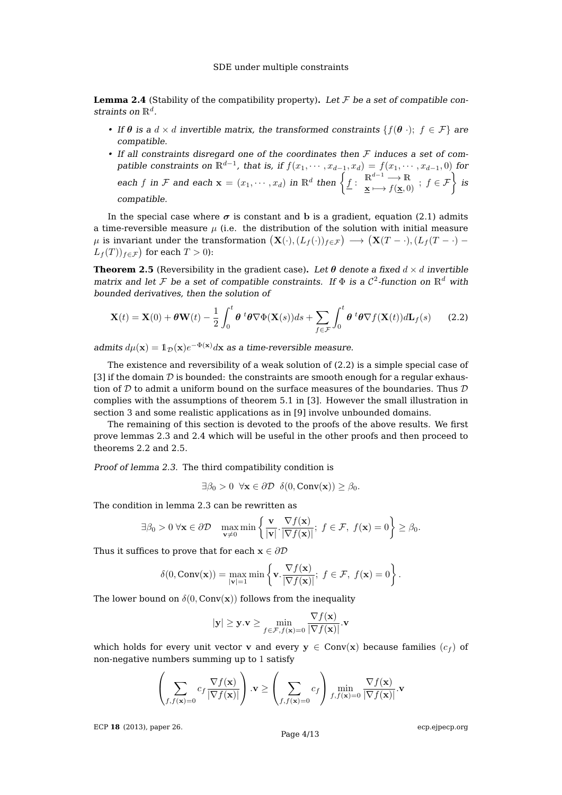<span id="page-3-1"></span>**Lemma 2.4** (Stability of the compatibility property). Let  $\mathcal F$  be a set of compatible constraints on  $\mathbb{R}^d$ .

- If  $\theta$  is a  $d \times d$  invertible matrix, the transformed constraints  $\{f(\theta) : f \in \mathcal{F}\}\)$  are compatible.
- If all constraints disregard one of the coordinates then  $\mathcal F$  induces a set of compatible constraints on  $\mathbb{R}^{d-1}$ , that is, if  $f(x_1, \dots, x_{d-1}, x_d) = f(x_1, \dots, x_{d-1}, 0)$  for each f in F and each  $\mathbf{x} = (x_1, \dots, x_d)$  in  $\mathbb{R}^d$  then  $\left\{ \underline{f}: \begin{array}{c} \mathbb{R}^{d-1} \longrightarrow \mathbb{R} \\ \underline{\mathbf{x}} \longmapsto f(\underline{\mathbf{x}}, 0) \end{array} \right\}$  is compatible.

In the special case where  $\sigma$  is constant and b is a gradient, equation [\(2.1\)](#page-2-1) admits a time-reversible measure  $\mu$  (i.e. the distribution of the solution with initial measure  $\mu$  is invariant under the transformation  $\big( \mathbf{X}(\cdot),(L_f(\cdot))_{f\in\mathcal{F}} \big)\longrightarrow \big( \mathbf{X}(T-\cdot),(L_f(T-\cdot)-\cdot)_{f\in\mathcal{F}} \big)$  $L_f(T)$ <sub> $f \in \mathcal{F}$ </sub> for each  $T > 0$ ):

<span id="page-3-2"></span>**Theorem 2.5** (Reversibility in the gradient case). Let  $\theta$  denote a fixed  $d \times d$  invertible matrix and let F be a set of compatible constraints. If  $\Phi$  is a  $\mathcal{C}^2$ -function on  $\mathbb{R}^d$  with bounded derivatives, then the solution of

<span id="page-3-0"></span>
$$
\mathbf{X}(t) = \mathbf{X}(0) + \theta \mathbf{W}(t) - \frac{1}{2} \int_0^t \theta^t \theta \nabla \Phi(\mathbf{X}(s)) ds + \sum_{f \in \mathcal{F}} \int_0^t \theta^t \theta \nabla f(\mathbf{X}(t)) d\mathbf{L}_f(s)
$$
(2.2)

admits  $d\mu(\mathbf{x}) = \mathbb{1}_{\mathcal{D}}(\mathbf{x})e^{-\Phi(\mathbf{x})}d\mathbf{x}$  as a time-reversible measure.

The existence and reversibility of a weak solution of [\(2.2\)](#page-3-0) is a simple special case of [\[3\]](#page-12-10) if the domain  $D$  is bounded: the constraints are smooth enough for a regular exhaustion of D to admit a uniform bound on the surface measures of the boundaries. Thus  $D$ complies with the assumptions of theorem 5.1 in [\[3\]](#page-12-10). However the small illustration in section [3](#page-6-0) and some realistic applications as in [\[9\]](#page-12-12) involve unbounded domains.

The remaining of this section is devoted to the proofs of the above results. We first prove lemmas [2.3](#page-2-2) and [2.4](#page-3-1) which will be useful in the other proofs and then proceed to theorems [2.2](#page-2-3) and [2.5.](#page-3-2)

Proof of lemma [2.3.](#page-2-2) The third compatibility condition is

 $\exists \beta_0 > 0 \ \forall \mathbf{x} \in \partial \mathcal{D} \ \delta(0, \text{Conv}(\mathbf{x})) \geq \beta_0.$ 

The condition in lemma [2.3](#page-2-2) can be rewritten as

$$
\exists \beta_0 > 0 \; \forall \mathbf{x} \in \partial \mathcal{D} \quad \max_{\mathbf{v} \neq 0} \min \left\{ \frac{\mathbf{v}}{|\mathbf{v}|} \cdot \frac{\nabla f(\mathbf{x})}{|\nabla f(\mathbf{x})|}; \; f \in \mathcal{F}, \; f(\mathbf{x}) = 0 \right\} \ge \beta_0.
$$

Thus it suffices to prove that for each  $x \in \partial \mathcal{D}$ 

$$
\delta(0, \text{Conv}(\mathbf{x})) = \max_{|\mathbf{v}|=1} \min \left\{ \mathbf{v} \cdot \frac{\nabla f(\mathbf{x})}{|\nabla f(\mathbf{x})|}; \ f \in \mathcal{F}, \ f(\mathbf{x}) = 0 \right\}.
$$

The lower bound on  $\delta(0, \text{Conv}(\mathbf{x}))$  follows from the inequality

$$
|\mathbf{y}| \geq \mathbf{y} \cdot \mathbf{v} \geq \min_{f \in \mathcal{F}, f(\mathbf{x}) = 0} \frac{\nabla f(\mathbf{x})}{|\nabla f(\mathbf{x})|} \cdot \mathbf{v}
$$

which holds for every unit vector v and every  $y \in Conv(x)$  because families  $(c_f)$  of non-negative numbers summing up to 1 satisfy

$$
\left(\sum_{f,f(\mathbf{x})=0} c_f \frac{\nabla f(\mathbf{x})}{|\nabla f(\mathbf{x})|}\right) \cdot \mathbf{v} \ge \left(\sum_{f,f(\mathbf{x})=0} c_f \right) \min_{f,f(\mathbf{x})=0} \frac{\nabla f(\mathbf{x})}{|\nabla f(\mathbf{x})|} \cdot \mathbf{v}
$$

ECP **18** [\(2013\), paper 26.](http://dx.doi.org/10.1214/ECP.v18-2730)

[ecp.ejpecp.org](http://ecp.ejpecp.org/)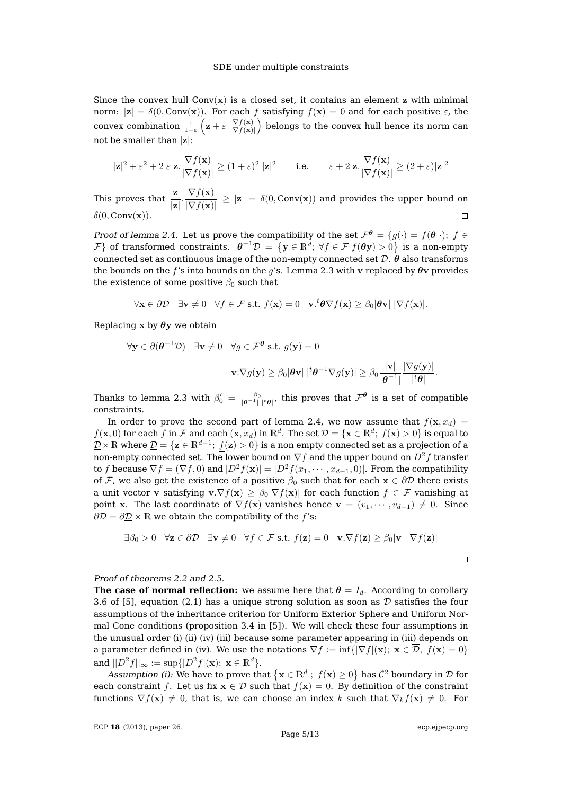Since the convex hull  $Conv(x)$  is a closed set, it contains an element z with minimal norm:  $|z| = \delta(0, \text{Conv}(x))$ . For each f satisfying  $f(x) = 0$  and for each positive  $\varepsilon$ , the convex combination  $\frac{1}{1+\varepsilon} \left( \mathbf{z} + \varepsilon \frac{\nabla f(\mathbf{x})}{|\nabla f(\mathbf{x})|} \right)$  $\left(\frac{\nabla f(\mathbf{x})}{|\nabla f(\mathbf{x})|}\right)$  belongs to the convex hull hence its norm can not be smaller than  $|z|$ :

$$
|\mathbf{z}|^2 + \varepsilon^2 + 2 \varepsilon \mathbf{z} \cdot \frac{\nabla f(\mathbf{x})}{|\nabla f(\mathbf{x})|} \ge (1+\varepsilon)^2 |\mathbf{z}|^2 \qquad \text{i.e.} \qquad \varepsilon + 2 \mathbf{z} \cdot \frac{\nabla f(\mathbf{x})}{|\nabla f(\mathbf{x})|} \ge (2+\varepsilon)|\mathbf{z}|^2
$$

This proves that  $\frac{\mathbf{z}}{|\mathbf{z}|} \cdot \frac{\nabla f(\mathbf{x})}{|\nabla f(\mathbf{x})|}$  $\frac{V(f(x))}{|\nabla f(x)|} \geq |z| = \delta(0, \text{Conv}(x))$  and provides the upper bound on  $\delta(0, Conv(\mathbf{x})).$  $\Box$ 

Proof of lemma [2.4.](#page-3-1) Let us prove the compatibility of the set  $\mathcal{F}^{\theta} = \{g(\cdot) = f(\theta) \mid ; f \in \mathcal{F}^{\theta} \}$  $\mathcal{F} \}$  of transformed constraints.  $\theta^{-1}\mathcal{D} = \{ \mathbf{y} \in \mathbb{R}^d; \; \forall f \in \mathcal{F} \; f(\theta \mathbf{y}) > 0 \}$  is a non-empty connected set as continuous image of the non-empty connected set  $D$ .  $\theta$  also transforms the bounds on the f's into bounds on the g's. Lemma [2.3](#page-2-2) with v replaced by  $\theta$ v provides the existence of some positive  $\beta_0$  such that

$$
\forall \mathbf{x} \in \partial \mathcal{D} \quad \exists \mathbf{v} \neq 0 \quad \forall f \in \mathcal{F} \text{ s.t. } f(\mathbf{x}) = 0 \quad \mathbf{v} \cdot \mathbf{v} \nabla f(\mathbf{x}) \ge \beta_0 |\boldsymbol{\theta} \mathbf{v}| \ |\nabla f(\mathbf{x})|.
$$

Replacing x by  $\theta$ y we obtain

$$
\forall \mathbf{y} \in \partial(\boldsymbol{\theta}^{-1} \mathcal{D}) \quad \exists \mathbf{v} \neq 0 \quad \forall g \in \mathcal{F}^{\boldsymbol{\theta}} \text{ s.t. } g(\mathbf{y}) = 0
$$

$$
\mathbf{v}.\nabla g(\mathbf{y}) \ge \beta_0 |\boldsymbol{\theta} \mathbf{v}| \mid^t \boldsymbol{\theta}^{-1} \nabla g(\mathbf{y})| \ge \beta_0 \frac{|\mathbf{v}|}{|\boldsymbol{\theta}^{-1}|} \frac{|\nabla g(\mathbf{y})|}{|t \boldsymbol{\theta}|}.
$$

Thanks to lemma [2.3](#page-2-2) with  $\beta'_0 = \frac{\beta_0}{|\theta^{-1}|\ |\mathbf{t}\theta|}$ , this proves that  $\mathcal{F}^{\theta}$  is a set of compatible constraints.

In order to prove the second part of lemma [2.4,](#page-3-1) we now assume that  $f(\mathbf{x}, x_d) =$  $f(\mathbf{x},0)$  for each  $f$  in  $\mathcal F$  and each  $(\mathbf{x},x_d)$  in  $\mathbb R^d.$  The set  $\mathcal D=\{\mathbf{x}\in\mathbb R^d;\ f(\mathbf{x})>0\}$  is equal to  $\mathcal{D}\times\mathbb{R}$  where  $\mathcal{D}=\{\mathbf{z}\in\mathbb{R}^{d-1};~f(\mathbf{z})>0\}$  is a non empty connected set as a projection of a non-empty connected set. The lower bound on  $\nabla f$  and the upper bound on  $D^2 f$  transfer to f because  $\nabla f = (\nabla f, 0)$  and  $D^2 f(x) = D^2 f(x_1, \dots, x_{d-1}, 0)$ . From the compatibility of  $\overline{\mathcal{F}}$ , we also get the existence of a positive  $\beta_0$  such that for each  $x \in \partial \mathcal{D}$  there exists a unit vector v satisfying  $\mathbf{v} \cdot \nabla f(\mathbf{x}) \geq \beta_0 |\nabla f(\mathbf{x})|$  for each function  $f \in \mathcal{F}$  vanishing at point x. The last coordinate of  $\nabla f(\mathbf{x})$  vanishes hence  $\underline{\mathbf{v}} = (v_1, \dots, v_{d-1}) \neq 0$ . Since  $\partial \mathcal{D} = \partial \mathcal{D} \times \mathbb{R}$  we obtain the compatibility of the f's:

$$
\exists \beta_0 > 0 \quad \forall \mathbf{z} \in \partial \mathcal{D} \quad \exists \mathbf{y} \neq 0 \quad \forall f \in \mathcal{F} \text{ s.t. } \underline{f}(\mathbf{z}) = 0 \quad \underline{\mathbf{v}}.\nabla \underline{f}(\mathbf{z}) \ge \beta_0 |\underline{\mathbf{v}}| \ |\nabla \underline{f}(\mathbf{z})|
$$

Proof of theorems [2.2](#page-2-3) and [2.5.](#page-3-2)

**The case of normal reflection:** we assume here that  $\theta = I_d$ . According to corollary 3.6 of [\[5\]](#page-12-9), equation [\(2.1\)](#page-2-1) has a unique strong solution as soon as  $D$  satisfies the four assumptions of the inheritance criterion for Uniform Exterior Sphere and Uniform Normal Cone conditions (proposition 3.4 in [\[5\]](#page-12-9)). We will check these four assumptions in the unusual order (i) (ii) (iv) (iii) because some parameter appearing in (iii) depends on a parameter defined in (iv). We use the notations  $\nabla f := \inf\{|\nabla f|(\mathbf{x}); \mathbf{x} \in \overline{\mathcal{D}}, f(\mathbf{x}) = 0\}$ and  $||D^2f||_{\infty} := \sup\{|D^2f|(\mathbf{x}); \mathbf{x} \in \mathbb{R}^d\}.$ 

Assumption (i): We have to prove that  $\{{\bf x}\in\mathbb{R}^d\;;\;f({\bf x})\ge 0\}$  has  $\mathcal{C}^2$  boundary in  $\overline{\mathcal{D}}$  for each constraint f. Let us fix  $x \in \overline{\mathcal{D}}$  such that  $f(x) = 0$ . By definition of the constraint functions  $\nabla f(\mathbf{x}) \neq 0$ , that is, we can choose an index k such that  $\nabla_k f(\mathbf{x}) \neq 0$ . For

 $\Box$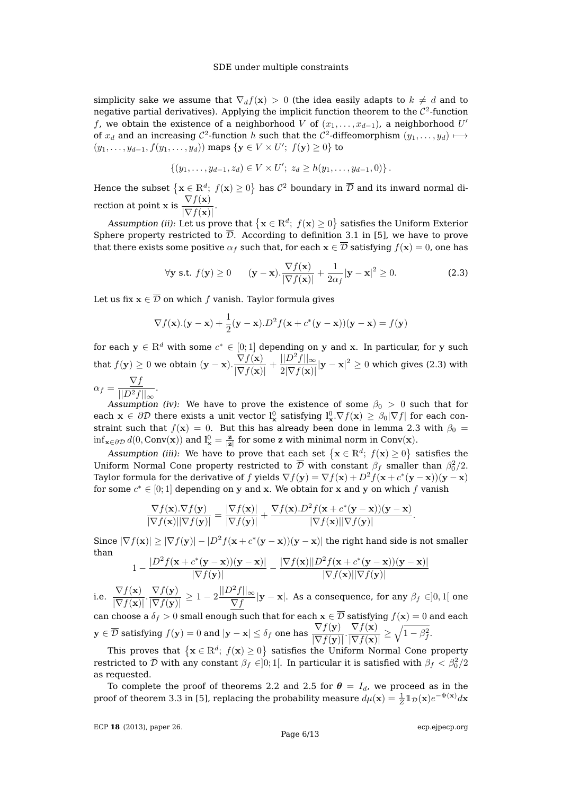simplicity sake we assume that  $\nabla_d f(\mathbf{x}) > 0$  (the idea easily adapts to  $k \neq d$  and to negative partial derivatives). Applying the implicit function theorem to the  $\mathcal{C}^2$ -function f, we obtain the existence of a neighborhood V of  $(x_1, \ldots, x_{d-1})$ , a neighborhood  $U'$ of  $x_d$  and an increasing  $\mathcal{C}^2$ -function  $h$  such that the  $\mathcal{C}^2$ -diffeomorphism  $(y_1,\ldots,y_d)\longmapsto$  $(y_1, \ldots, y_{d-1}, f(y_1, \ldots, y_d))$  maps  $\{y \in V \times U'; f(y) \ge 0\}$  to

$$
\{(y_1,\ldots,y_{d-1},z_d)\in V\times U';\ z_d\geq h(y_1,\ldots,y_{d-1},0)\}.
$$

Hence the subset  $\{{\bf x}\in\mathbb{R}^d;\;f({\bf x})\ge 0\}$  has  $\mathcal{C}^2$  boundary in  $\overline{\mathcal{D}}$  and its inward normal direction at point x is  $\frac{\nabla f(\mathbf{x})}{\nabla f(\mathbf{x})}$  $\frac{\partial}{\partial \nabla f(\mathbf{x})}$ .

Assumption (ii): Let us prove that  $\{{\bf x}\in\mathbb{R}^d;\;f({\bf x})\ge 0\}$  satisfies the Uniform Exterior Sphere property restricted to  $\overline{\mathcal{D}}$ . According to definition 3.1 in [\[5\]](#page-12-9), we have to prove that there exists some positive  $\alpha_f$  such that, for each  $x \in \overline{\mathcal{D}}$  satisfying  $f(x) = 0$ , one has

<span id="page-5-0"></span>
$$
\forall \mathbf{y} \text{ s.t. } f(\mathbf{y}) \ge 0 \qquad (\mathbf{y} - \mathbf{x}). \frac{\nabla f(\mathbf{x})}{|\nabla f(\mathbf{x})|} + \frac{1}{2\alpha_f} |\mathbf{y} - \mathbf{x}|^2 \ge 0. \tag{2.3}
$$

Let us fix  $x \in \overline{\mathcal{D}}$  on which f vanish. Taylor formula gives

$$
\nabla f(\mathbf{x}).(\mathbf{y}-\mathbf{x}) + \frac{1}{2}(\mathbf{y}-\mathbf{x}).D^2 f(\mathbf{x} + c^*(\mathbf{y}-\mathbf{x}))(\mathbf{y}-\mathbf{x}) = f(\mathbf{y})
$$

for each  $\mathbf{y}\in\mathbb{R}^d$  with some  $c^*\in[0;1]$  depending on  $\mathbf y$  and  $\mathbf x.$  In particular, for  $\mathbf y$  such that  $f(\mathbf{y}) \geq 0$  we obtain  $(\mathbf{y} - \mathbf{x}) \cdot \frac{\nabla f(\mathbf{x})}{\nabla f(\mathbf{x})}$  $\frac{\nabla f(\mathbf{x})}{|\nabla f(\mathbf{x})|} + \frac{||D^2f||_{\infty}}{2|\nabla f(\mathbf{x})|}$  $\frac{||D-f||_\infty}{2|\nabla f(\mathbf{x})|}|\mathbf{y}-\mathbf{x}|^2 \geq 0$  which gives [\(2.3\)](#page-5-0) with  $\alpha_f = \frac{\nabla f}{\ln 2 \cdot f}$  $\frac{1}{||D^2f||_{\infty}}$ .

Assumption (iv): We have to prove the existence of some  $\beta_0 > 0$  such that for each  $\mathbf{x} \in \partial \mathcal{D}$  there exists a unit vector  $\mathbf{l}_{\mathbf{x}}^0$  satisfying  $\mathbf{l}_{\mathbf{x}}^0 \cdot \nabla f(\mathbf{x}) \ge \beta_0 |\nabla f|$  for each constraint such that  $f(x) = 0$ . But this has already been done in lemma [2.3](#page-2-2) with  $\beta_0 =$  $\inf_{\mathbf{x}\in\partial\mathcal{D}}d(0,\mathrm{Conv}(\mathbf{x}))$  and  $\mathbf{l}_{\mathbf{x}}^0=\frac{\mathbf{z}}{|\mathbf{z}|}$  for some z with minimal norm in Conv $(\mathbf{x})$ .

Assumption (iii): We have to prove that each set  $\{x \in \mathbb{R}^d; f(x) \ge 0\}$  satisfies the Uniform Normal Cone property restricted to  $\overline{\mathcal{D}}$  with constant  $\beta_f$  smaller than  $\beta_0^2/2$ . Taylor formula for the derivative of  $f$  yields  $\nabla f(\mathbf{y})=\nabla f(\mathbf{x})+D^2f(\mathbf{x}+c^*(\mathbf{y}-\mathbf{x}))(\mathbf{y}-\mathbf{x})$ for some  $c^* \in [0;1]$  depending on y and x. We obtain for x and y on which f vanish

$$
\frac{\nabla f(\mathbf{x}).\nabla f(\mathbf{y})}{|\nabla f(\mathbf{x})||\nabla f(\mathbf{y})|} = \frac{|\nabla f(\mathbf{x})|}{|\nabla f(\mathbf{y})|} + \frac{\nabla f(\mathbf{x}).D^2 f(\mathbf{x} + c^*(\mathbf{y} - \mathbf{x}))( \mathbf{y} - \mathbf{x})}{|\nabla f(\mathbf{x})||\nabla f(\mathbf{y})|}.
$$

Since  $|\nabla f(\mathbf{x})| \ge |\nabla f(\mathbf{y})| - |D^2 f(\mathbf{x} + c^*(\mathbf{y} - \mathbf{x}))(\mathbf{y} - \mathbf{x})|$  the right hand side is not smaller than

$$
1 - \frac{|D^2 f(\mathbf{x} + c^*(\mathbf{y} - \mathbf{x}))(y - \mathbf{x})|}{|\nabla f(\mathbf{y})|} - \frac{|\nabla f(\mathbf{x})||D^2 f(\mathbf{x} + c^*(\mathbf{y} - \mathbf{x}))(y - \mathbf{x})|}{|\nabla f(\mathbf{x})||\nabla f(\mathbf{y})|}
$$

i.e.  $\nabla f(\mathbf{x})$  $\frac{\nabla f(\mathbf{x})}{|\nabla f(\mathbf{x})|} \cdot \frac{\nabla f(\mathbf{y})}{|\nabla f(\mathbf{y})|}$  $\frac{\nabla f(\mathbf{y})}{|\nabla f(\mathbf{y})|} \geq 1 - 2 \frac{||D^2 f||_{\infty}}{\nabla f}$  $\frac{f(t) - f(t)}{\nabla f}$   $|\mathbf{y} - \mathbf{x}|$ . As a consequence, for any  $\beta_f \in ]0,1[$  one can choose a  $\delta_f > 0$  small enough such that for each  $x \in \overline{\mathcal{D}}$  satisfying  $f(x) = 0$  and each  $\mathbf{y} \in \overline{\mathcal{D}}$  satisfying  $f(\mathbf{y}) = 0$  and  $|\mathbf{y}-\mathbf{x}| \leq \delta_f$  one has  $\frac{\nabla f(\mathbf{y})}{|\nabla f(\mathbf{y})|} \cdot \frac{\nabla f(\mathbf{x})}{|\nabla f(\mathbf{x})|}$  $\frac{\nabla f(\mathbf{x})}{|\nabla f(\mathbf{x})|} \geq \sqrt{1-\beta_f^2}.$ 

This proves that  $\{x \in \mathbb{R}^d; f(x) \geq 0\}$  satisfies the Uniform Normal Cone property restricted to  $\overline{\cal D}$  with any constant  $\beta_f\in]0;1[.$  In particular it is satisfied with  $\beta_f<\beta_0^2/2$ as requested.

To complete the proof of theorems [2.2](#page-2-3) and [2.5](#page-3-2) for  $\theta = I_d$ , we proceed as in the proof of theorem 3.3 in [\[5\]](#page-12-9), replacing the probability measure  $d\mu(\mathbf{x})=\frac{1}{Z}\mathbb{1}_{\mathcal{D}}(\mathbf{x})e^{-\Phi(\mathbf{x})}d\mathbf{x}$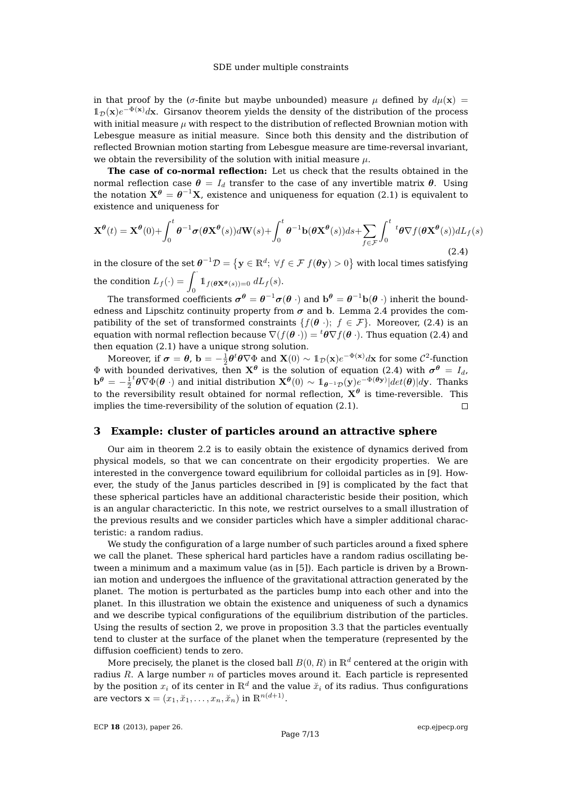in that proof by the ( $\sigma$ -finite but maybe unbounded) measure  $\mu$  defined by  $d\mu(\mathbf{x}) =$  $1_{\mathcal{D}}(\mathbf{x})e^{-\Phi(\mathbf{x})}d\mathbf{x}$ . Girsanov theorem yields the density of the distribution of the process with initial measure  $\mu$  with respect to the distribution of reflected Brownian motion with Lebesgue measure as initial measure. Since both this density and the distribution of reflected Brownian motion starting from Lebesgue measure are time-reversal invariant, we obtain the reversibility of the solution with initial measure  $\mu$ .

**The case of co-normal reflection:** Let us check that the results obtained in the normal reflection case  $\theta = I_d$  transfer to the case of any invertible matrix  $\theta$ . Using the notation  $\mathbf{X}^{\boldsymbol{\theta}}=\boldsymbol{\theta}^{-1}\mathbf{X}$ , existence and uniqueness for equation [\(2.1\)](#page-2-1) is equivalent to existence and uniqueness for

<span id="page-6-1"></span>
$$
\mathbf{X}^{\theta}(t) = \mathbf{X}^{\theta}(0) + \int_0^t \theta^{-1} \sigma(\theta \mathbf{X}^{\theta}(s)) d\mathbf{W}(s) + \int_0^t \theta^{-1} \mathbf{b}(\theta \mathbf{X}^{\theta}(s)) ds + \sum_{f \in \mathcal{F}} \int_0^t {}^t \theta \nabla f(\theta \mathbf{X}^{\theta}(s)) dL_f(s)
$$
\n(2.4)

in the closure of the set  $\bm\theta^{-1}\mathcal D=\left\{\mathbf y\in\mathbb R^d;\ \forall f\in\mathcal F|f(\bm\theta\mathbf y)>0\right\}$  with local times satisfying the condition  $L_f(\cdot) = \int_0^\cdot \mathbb{1}_{f(\boldsymbol{\theta} \mathbf{X}^{\boldsymbol{\theta}}(s))=0} dL_f(s)$ .

The transformed coefficients  $\bm{\sigma}^{\bm{\theta}}=\bm{\theta}^{-1}\bm{\sigma}(\bm{\theta}\;\cdot)$  and  $\mathbf{b}^{\bm{\theta}}=\bm{\theta}^{-1}\mathbf{b}(\bm{\theta}\;\cdot)$  inherit the boundedness and Lipschitz continuity property from  $\sigma$  and b. Lemma [2.4](#page-3-1) provides the compatibility of the set of transformed constraints  $\{f(\theta) : f \in \mathcal{F}\}\$ . Moreover, [\(2.4\)](#page-6-1) is an equation with normal reflection because  $\nabla(f(\theta)) = {}^t\theta \nabla f(\theta)$ . Thus equation [\(2.4\)](#page-6-1) and then equation [\(2.1\)](#page-2-1) have a unique strong solution.

Moreover, if  $\bm{\sigma}=\bm{\theta}$ ,  $\mathbf{b}=-\frac{1}{2}\bm{\theta}^t\bm{\theta}\nabla\Phi$  and  $\mathbf{X}(0)\sim 1_\mathcal{D}(\mathbf{x})e^{-\Phi(\mathbf{x})}d\mathbf{x}$  for some  $\mathcal{C}^2$ -function  $\Phi$  with bounded derivatives, then  $\mathbf{X}^{\boldsymbol{\theta}}$  is the solution of equation [\(2.4\)](#page-6-1) with  $\boldsymbol{\sigma}^{\boldsymbol{\theta}}$  =  $I_d$ ,  ${}^t\theta\nabla\Phi(\bm\theta\;\cdot)$  and initial distribution  $\mathbf{X}^{\bm\theta}(0)\sim 1\!\!\!1_{\bm\theta^{-1}\mathcal{D}}(\mathbf{y})e^{-\Phi(\bm\theta\mathbf{y})}|det(\bm\theta)|d\mathbf{y}.$  Thanks  $\mathbf{b}^{\boldsymbol{\theta}} = -\frac{1}{2}$ to the reversibility result obtained for normal reflection,  $X^{\theta}$  is time-reversible. This implies the time-reversibility of the solution of equation [\(2.1\)](#page-2-1).  $\Box$ 

### <span id="page-6-0"></span>**3 Example: cluster of particles around an attractive sphere**

Our aim in theorem [2.2](#page-2-3) is to easily obtain the existence of dynamics derived from physical models, so that we can concentrate on their ergodicity properties. We are interested in the convergence toward equilibrium for colloidal particles as in [\[9\]](#page-12-12). However, the study of the Janus particles described in [\[9\]](#page-12-12) is complicated by the fact that these spherical particles have an additional characteristic beside their position, which is an angular characterictic. In this note, we restrict ourselves to a small illustration of the previous results and we consider particles which have a simpler additional characteristic: a random radius.

We study the configuration of a large number of such particles around a fixed sphere we call the planet. These spherical hard particles have a random radius oscillating between a minimum and a maximum value (as in [\[5\]](#page-12-9)). Each particle is driven by a Brownian motion and undergoes the influence of the gravitational attraction generated by the planet. The motion is perturbated as the particles bump into each other and into the planet. In this illustration we obtain the existence and uniqueness of such a dynamics and we describe typical configurations of the equilibrium distribution of the particles. Using the results of section [2,](#page-1-0) we prove in proposition [3.3](#page-8-0) that the particles eventually tend to cluster at the surface of the planet when the temperature (represented by the diffusion coefficient) tends to zero.

More precisely, the planet is the closed ball  $B(0, R)$  in  $\mathbb{R}^d$  centered at the origin with radius  $R$ . A large number  $n$  of particles moves around it. Each particle is represented by the position  $x_i$  of its center in  $\mathbb{R}^d$  and the value  $\check{x}_i$  of its radius. Thus configurations are vectors  $\mathbf{x} = (x_1, \breve{x}_1, \dots, x_n, \breve{x}_n)$  in  $\mathbb{R}^{n(d+1)}$ .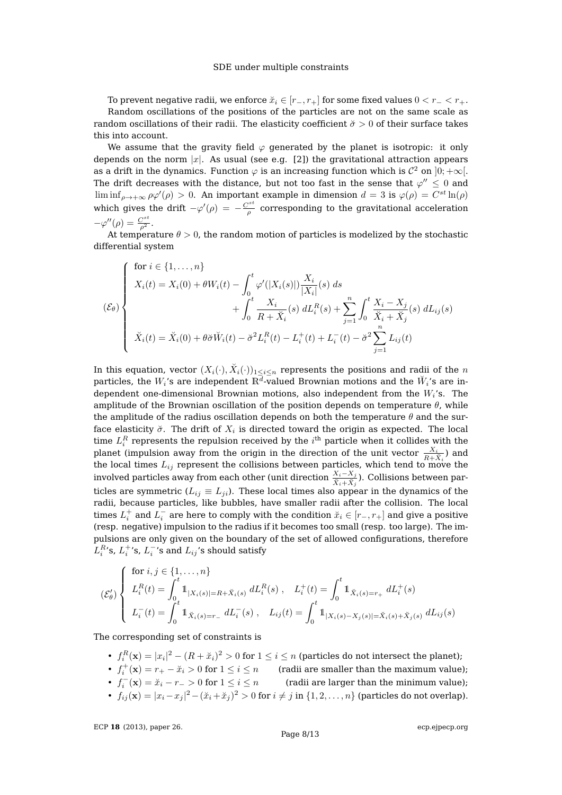To prevent negative radii, we enforce  $\check{x}_i \in [r_-, r_+]$  for some fixed values  $0 < r_- < r_+$ . Random oscillations of the positions of the particles are not on the same scale as random oscillations of their radii. The elasticity coefficient  $\ddot{\sigma} > 0$  of their surface takes this into account.

We assume that the gravity field  $\varphi$  generated by the planet is isotropic: it only depends on the norm  $|x|$ . As usual (see e.g. [\[2\]](#page-12-11)) the gravitational attraction appears as a drift in the dynamics. Function  $\varphi$  is an increasing function which is  $\mathcal{C}^2$  on  $]0;+\infty[.$ The drift decreases with the distance, but not too fast in the sense that  $\varphi^{\prime\prime}\leq0$  and  $\liminf_{\rho\to+\infty}\rho\varphi'(\rho) > 0$ . An important example in dimension  $d=3$  is  $\varphi(\rho) = C^{st}\ln(\rho)$ which gives the drift  $-\varphi'(\rho) = -\frac{C^{st}}{g}$  $\frac{\partial \mathcal{L}}{\partial \rho}$  corresponding to the gravitational acceleration  $-\varphi''(\rho) = \frac{C^{st}}{\rho^2}.$ 

At temperature  $\theta > 0$ , the random motion of particles is modelized by the stochastic differential system

$$
(\mathcal{E}_{\theta}) \begin{cases} \text{for } i \in \{1, ..., n\} \\ X_i(t) = X_i(0) + \theta W_i(t) - \int_0^t \varphi'(|X_i(s)|) \frac{X_i}{|X_i|}(s) ds \\ + \int_0^t \frac{X_i}{R + \breve{X}_i}(s) dL_i^R(s) + \sum_{j=1}^n \int_0^t \frac{X_i - X_j}{\breve{X}_i + \breve{X}_j}(s) dL_{ij}(s) \\ \breve{X}_i(t) = \breve{X}_i(0) + \theta \breve{\sigma} \breve{W}_i(t) - \breve{\sigma}^2 L_i^R(t) - L_i^+(t) + L_i^-(t) - \breve{\sigma}^2 \sum_{j=1}^n L_{ij}(t) \end{cases}
$$

In this equation, vector  $(X_i(\cdot),\breve{X}_i(\cdot))_{1\leq i\leq n}$  represents the positions and radii of the  $n$ particles, the  $W_i$ 's are independent  $\mathbb{R}^{\overline{d}}$ -valued Brownian motions and the  $\breve W_i$ 's are independent one-dimensional Brownian motions, also independent from the  $W_i$ 's. The amplitude of the Brownian oscillation of the position depends on temperature  $\theta$ , while the amplitude of the radius oscillation depends on both the temperature  $\theta$  and the surface elasticity  $\breve{\sigma}$ . The drift of  $X_i$  is directed toward the origin as expected. The local time  $L_i^R$  represents the repulsion received by the  $i^{\text{th}}$  particle when it collides with the planet (impulsion away from the origin in the direction of the unit vector  $\frac{X_i}{P+\tilde{Y}}$ ) and the local times  $L_{ij}$  represent the collisions between particles, which tend to move the involved particles away from each other (unit direction  $\frac{X_i-X_j}{\check{X}_i+\check{X}_j}$ ). Collisions between particles are symmetric ( $L_{ij} \equiv L_{ji}$ ). These local times also appear in the dynamics of the radii, because particles, like bubbles, have smaller radii after the collision. The local times  $L_i^+$  and  $L_i^-$  are here to comply with the condition  $\breve{x}_i \in [r_-,r_+]$  and give a positive (resp. negative) impulsion to the radius if it becomes too small (resp. too large). The impulsions are only given on the boundary of the set of allowed configurations, therefore  $L_i^{R}$ 's,  $L_i^{+}$ 's,  $L_i^{-}$ 's and  $L_{ij}$ 's should satisfy

$$
\begin{aligned}\n(\mathcal{E}'_{\theta}) \left\{ \begin{array}{l} \text{for } i, j \in \{1, \dots, n\} \\ L_i^R(t) &= \int_0^t \mathbb{1}_{|X_i(s)| = R + \breve{X}_i(s)} \ dL_i^R(s) \ , \quad L_i^+(t) = \int_0^t \mathbb{1}_{\breve{X}_i(s) = r_+} \ dL_i^+(s) \\ L_i^-(t) &= \int_0^t \mathbb{1}_{\breve{X}_i(s) = r_-} \ dL_i^-(s) \ , \quad L_{ij}(t) = \int_0^t \mathbb{1}_{|X_i(s) - X_j(s)| = \breve{X}_i(s) + \breve{X}_j(s)} \ dL_{ij}(s)\n\end{array} \right.\n\end{aligned}
$$

The corresponding set of constraints is

- $f_i^R(\mathbf{x}) = |x_i|^2 (R + \breve{x}_i)^2 > 0$  for  $1 \leq i \leq n$  (particles do not intersect the planet);
- $f_i^+(\mathbf{x}) = r_+ \breve{x}_i > 0$  for  $1 \leq i \leq n$  (radii are smaller than the maximum value);
- $f_i^-$ (radii are larger than the minimum value);
- $f_{ij}(\mathbf{x}) = |x_i x_j|^2 (\breve{x}_i + \breve{x}_j)^2 > 0$  for  $i \neq j$  in  $\{1, 2, ..., n\}$  (particles do not overlap).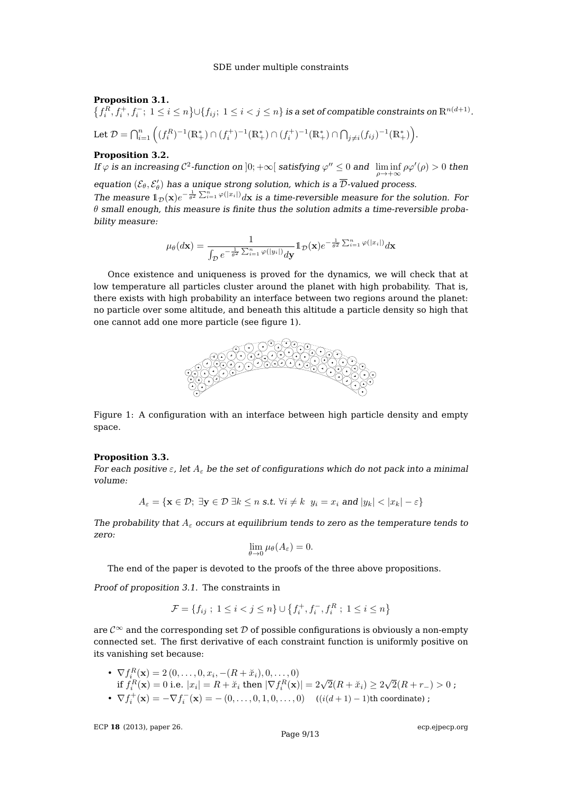#### <span id="page-8-2"></span>**Proposition 3.1.**

 $\big\{f_i^R, f_i^+, f_i^-;~1\leq i\leq n\big\} \cup \{f_{ij};~1\leq i< j\leq n\}$  is a set of compatible constraints on  $\mathbb{R}^{n(d+1)}.$ 

Let  $\mathcal{D} = \bigcap_{i=1}^n \left( (f_i^R)^{-1}(\mathbb{R}^*_+) \cap (f_i^+)^{-1}(\mathbb{R}^*_+) \cap (f_i^+)^{-1}(\mathbb{R}^*_+) \cap \bigcap_{j \neq i} (f_{ij})^{-1}(\mathbb{R}^*_+) \right)$ .

### <span id="page-8-3"></span>**Proposition 3.2.**

If  $\varphi$  is an increasing  $\mathcal{C}^2$ -function on  $]0;+\infty[$  satisfying  $\varphi''\leq 0$  and  $\liminf\limits_{\rho\to+\infty}\rho\varphi'(\rho)>0$  then equation  $(\mathcal{E}_{\theta}, \mathcal{E}'_{\theta})$  has a unique strong solution, which is a  $\overline{\mathcal{D}}$ -valued process.

The measure  $1_{\mathcal{D}}(x)e^{-\frac{1}{\theta^2}\sum_{i=1}^n\varphi(|x_i|)}dx$  is a time-reversible measure for the solution. For  $\theta$  small enough, this measure is finite thus the solution admits a time-reversible probability measure:

$$
\mu_\theta(d\mathbf{x}) = \frac{1}{\int_{\mathcal{D}} e^{-\frac{1}{\theta^2} \sum_{i=1}^n \varphi(|y_i|)} d\mathbf{y}} 1_{\mathcal{D}}(\mathbf{x}) e^{-\frac{1}{\theta^2} \sum_{i=1}^n \varphi(|x_i|)} d\mathbf{x}
$$

Once existence and uniqueness is proved for the dynamics, we will check that at low temperature all particles cluster around the planet with high probability. That is, there exists with high probability an interface between two regions around the planet: no particle over some altitude, and beneath this altitude a particle density so high that one cannot add one more particle (see figure [1\)](#page-8-1).



<span id="page-8-1"></span>Figure 1: A configuration with an interface between high particle density and empty space.

#### <span id="page-8-0"></span>**Proposition 3.3.**

For each positive  $\varepsilon$ , let  $A_{\varepsilon}$  be the set of configurations which do not pack into a minimal volume:

$$
A_{\varepsilon} = \{ \mathbf{x} \in \mathcal{D}; \ \exists \mathbf{y} \in \mathcal{D} \ \exists k \leq n \ \text{s.t.} \ \forall i \neq k \ \ y_i = x_i \ \text{and} \ |y_k| < |x_k| - \varepsilon \}
$$

The probability that  $A_{\varepsilon}$  occurs at equilibrium tends to zero as the temperature tends to zero:

$$
\lim_{\theta \to 0} \mu_{\theta}(A_{\varepsilon}) = 0.
$$

The end of the paper is devoted to the proofs of the three above propositions.

Proof of proposition [3.1.](#page-8-2) The constraints in

$$
\mathcal{F} = \{ f_{ij} \; ; \; 1 \leq i < j \leq n \} \cup \{ f_i^+, f_i^-, f_i^R \; ; \; 1 \leq i \leq n \}
$$

are  $\mathcal{C}^{\infty}$  and the corresponding set D of possible configurations is obviously a non-empty connected set. The first derivative of each constraint function is uniformly positive on its vanishing set because:

• 
$$
\nabla f_i^R(\mathbf{x}) = 2(0, ..., 0, x_i, -(R + \breve{x}_i), 0, ..., 0)
$$
  
if  $f_i^R(\mathbf{x}) = 0$  i.e.  $|x_i| = R + \breve{x}_i$  then  $|\nabla f_i^R(\mathbf{x})| = 2\sqrt{2}(R + \breve{x}_i) \ge 2\sqrt{2}(R + r_-) > 0$ ;  
•  $\nabla f_i^+(\mathbf{x}) = -\nabla f_i^-(\mathbf{x}) = -(0, ..., 0, 1, 0, ..., 0)$   $((i(d+1) - 1)$ th coordinate) ;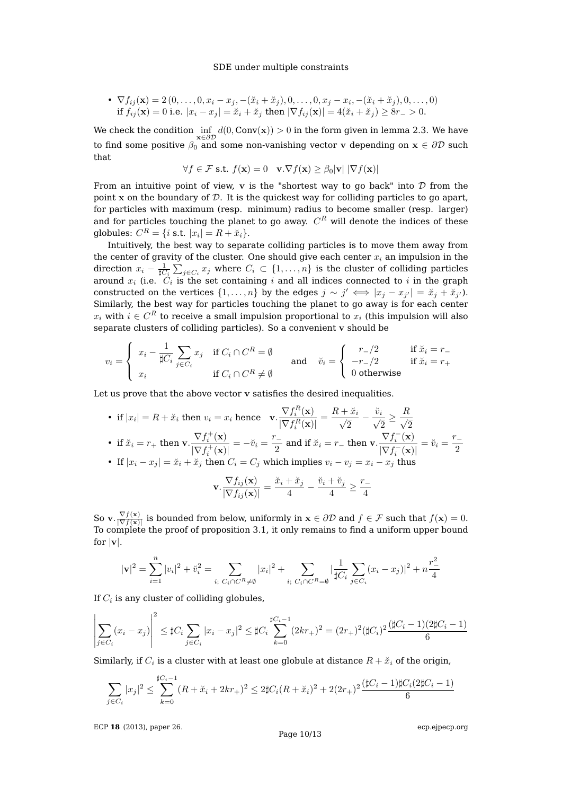• 
$$
\nabla f_{ij}(\mathbf{x}) = 2(0, ..., 0, x_i - x_j, -(x_i + \breve{x}_j), 0, ..., 0, x_j - x_i, -(x_i + \breve{x}_j), 0, ..., 0)
$$
  
if  $f_{ij}(\mathbf{x}) = 0$  i.e.  $|x_i - x_j| = \breve{x}_i + \breve{x}_j$  then  $|\nabla f_{ij}(\mathbf{x})| = 4(\breve{x}_i + \breve{x}_j) \ge 8r - 8$ .

We check the condition  $\inf_{{\bf x}\in\partial\mathcal{D}}d(0,Con{\bf v}({\bf x}))>0$  in the form given in lemma [2.3.](#page-2-2) We have to find some positive  $\beta_0$  and some non-vanishing vector v depending on  $\mathbf{x} \in \partial \mathcal{D}$  such that

$$
\forall f \in \mathcal{F} \text{ s.t. } f(\mathbf{x}) = 0 \quad \mathbf{v}.\nabla f(\mathbf{x}) \ge \beta_0 |\mathbf{v}| |\nabla f(\mathbf{x})|
$$

From an intuitive point of view,  $\bf{v}$  is the "shortest way to go back" into  $\cal{D}$  from the point x on the boundary of  $D$ . It is the quickest way for colliding particles to go apart, for particles with maximum (resp. minimum) radius to become smaller (resp. larger) and for particles touching the planet to go away.  $C^{R}$  will denote the indices of these globules:  $C^R = \{i \text{ s.t. } |x_i| = R + \breve{x}_i\}.$ 

Intuitively, the best way to separate colliding particles is to move them away from the center of gravity of the cluster. One should give each center  $x_i$  an impulsion in the direction  $x_i - \frac{1}{\sharp C_i} \sum_{j \in C_i} x_j$  where  $C_i \subset \{1, \ldots, n\}$  is the cluster of colliding particles around  $x_i$  (i.e.  $C_i$  is the set containing i and all indices connected to i in the graph constructed on the vertices  $\{1,\ldots,n\}$  by the edges  $j \sim j' \iff |x_j - x_{j'}| = \tilde{x}_j + \tilde{x}_{j'}\}$ . Similarly, the best way for particles touching the planet to go away is for each center  $x_i$  with  $i\in C^R$  to receive a small impulsion proportional to  $x_i$  (this impulsion will also separate clusters of colliding particles). So a convenient v should be

$$
v_i = \begin{cases} x_i - \frac{1}{\sharp C_i} \sum_{j \in C_i} x_j & \text{if } C_i \cap C^R = \emptyset \\ x_i & \text{if } C_i \cap C^R \neq \emptyset \end{cases} \quad \text{and} \quad \check{v}_i = \begin{cases} r_-/2 & \text{if } \check{x}_i = r_- \\ -r_-/2 & \text{if } \check{x}_i = r_+ \\ 0 & \text{otherwise} \end{cases}
$$

Let us prove that the above vector v satisfies the desired inequalities.

• if  $|x_i| = R + \breve{x}_i$  then  $v_i = x_i$  hence  $\mathbf{v} \cdot \frac{\nabla f_i^R(\mathbf{x})}{\nabla f_i^R(\mathbf{x})}$  $\frac{\nabla f_i^R(\mathbf{x})}{|\nabla f_i^R(\mathbf{x})|} = \frac{R + \breve{x}_i}{\sqrt{2}}$ i  $\overline{c}$  $-\frac{\breve{v}_i}{\sqrt{2}}$  $\overline{c}$  $\geq \frac{R}{4}$  $\overline{c}$ • if  $\breve{x}_i = r_+$  then  $\mathbf{v} \cdot \frac{\nabla f_i^+(\mathbf{x})}{\nabla f_i^+(\mathbf{x})}$  $\frac{\nabla f_i^+(\mathbf{x})}{|\nabla f_i^+(\mathbf{x})|} = -\breve{v}_i = \frac{r_-}{2}$  $\frac{\overline{C} - 2}{2}$  and if  $\breve{x}_i = r_-$  then  $\mathbf{v} \cdot \frac{\nabla f_i^-(\mathbf{x})}{|\nabla f_i^-(\mathbf{x})|^2}$  $\frac{\nabla f_i^-(\mathbf{x})}{|\nabla f_i^-(\mathbf{x})|} = \check{v}_i = \frac{r_-}{2}$ 2 • If  $|x_i - x_j| = \tilde{x}_i + \tilde{x}_j$  then  $C_i = C_j$  which implies  $v_i - v_j = x_i - x_j$  thus

$$
\mathbf{v} \cdot \frac{\nabla f_{ij}(\mathbf{x})}{|\nabla f_{ij}(\mathbf{x})|} = \frac{\breve{x}_i + \breve{x}_j}{4} - \frac{\breve{v}_i + \breve{v}_j}{4} \ge \frac{r-4}{4}
$$

So v.  $\frac{\nabla f(\mathbf{x})}{\nabla f(\mathbf{x})}$  $\frac{\nabla f(\mathbf{x})}{|\nabla f(\mathbf{x})|}$  is bounded from below, uniformly in  $\mathbf{x} \in \partial \mathcal{D}$  and  $f \in \mathcal{F}$  such that  $f(\mathbf{x}) = 0$ . To complete the proof of proposition [3.1,](#page-8-2) it only remains to find a uniform upper bound for  $|v|$ .

$$
|\mathbf{v}|^2 = \sum_{i=1}^n |v_i|^2 + \breve{v}_i^2 = \sum_{i; \ C_i \cap C^R \neq \emptyset} |x_i|^2 + \sum_{i; \ C_i \cap C^R = \emptyset} |\frac{1}{\sharp C_i} \sum_{j \in C_i} (x_i - x_j)|^2 + n\frac{r^2}{4}
$$

If  $C_i$  is any cluster of colliding globules,

 $\Omega$ 

$$
\left| \sum_{j \in C_i} (x_i - x_j) \right|^2 \leq \sharp C_i \sum_{j \in C_i} |x_i - x_j|^2 \leq \sharp C_i \sum_{k=0}^{\sharp C_i - 1} (2kr_+)^2 = (2r_+)^2 (\sharp C_i)^2 \frac{(\sharp C_i - 1)(2\sharp C_i - 1)}{6}
$$

Similarly, if  $C_i$  is a cluster with at least one globule at distance  $R + \breve{x}_i$  of the origin,

$$
\sum_{j \in C_i} |x_j|^2 \le \sum_{k=0}^{\sharp C_i - 1} (R + \breve{x}_i + 2kr_+)^2 \le 2\sharp C_i (R + \breve{x}_i)^2 + 2(2r_+)^2 \frac{(\sharp C_i - 1)\sharp C_i (2\sharp C_i - 1)}{6}
$$

ECP **18** [\(2013\), paper 26.](http://dx.doi.org/10.1214/ECP.v18-2730)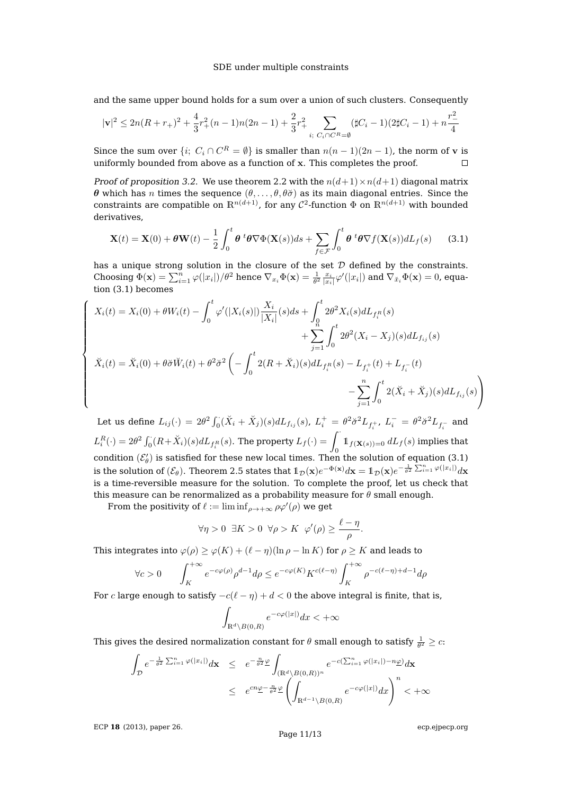and the same upper bound holds for a sum over a union of such clusters. Consequently

$$
|\mathbf{v}|^2 \leq 2n(R+r_+)^2 + \frac{4}{3}r_+^2(n-1)n(2n-1) + \frac{2}{3}r_+^2 \sum_{i; \ C_i \cap C^R = \emptyset} (\sharp C_i - 1)(2\sharp C_i - 1) + n\frac{r_-^2}{4}
$$

Since the sum over  $\{i; C_i \cap C^R = \emptyset\}$  is smaller than  $n(n-1)(2n-1)$ , the norm of v is uniformly bounded from above as a function of x. This completes the proof.  $\Box$ 

Proof of proposition [3.2.](#page-8-3) We use theorem [2.2](#page-2-3) with the  $n(d+1)\times n(d+1)$  diagonal matrix θ which has *n* times the sequence  $(θ, \ldots, θ, θσ)$  as its main diagonal entries. Since the constraints are compatible on  $\mathbb{R}^{n(d+1)}$ , for any  $\mathcal{C}^2$ -function  $\Phi$  on  $\mathbb{R}^{n(d+1)}$  with bounded derivatives,

<span id="page-10-0"></span>
$$
\mathbf{X}(t) = \mathbf{X}(0) + \theta \mathbf{W}(t) - \frac{1}{2} \int_0^t \theta^t \theta \nabla \Phi(\mathbf{X}(s)) ds + \sum_{f \in \mathcal{F}} \int_0^t \theta^t \theta \nabla f(\mathbf{X}(s)) dL_f(s)
$$
(3.1)

has a unique strong solution in the closure of the set  $D$  defined by the constraints. Choosing  $\Phi(\mathbf{x}) = \sum_{i=1}^n \varphi(|x_i|)/\theta^2$  hence  $\nabla_{x_i}\Phi(\mathbf{x}) = \frac{1}{\theta^2} \frac{x_i}{|x_i|} \varphi'(|x_i|)$  and  $\nabla_{\breve{x}_i}\Phi(\mathbf{x}) = 0$ , equation [\(3.1\)](#page-10-0) becomes

$$
X_i(t) = X_i(0) + \theta W_i(t) - \int_0^t \varphi'(|X_i(s)|) \frac{X_i}{|X_i|}(s) ds + \int_0^t 2\theta^2 X_i(s) dL_{f_i^R}(s) + \sum_{j=1}^n \int_0^t 2\theta^2 (X_i - X_j)(s) dL_{f_{ij}}(s) \n\check{X}_i(t) = \check{X}_i(0) + \theta \check{\sigma} \check{W}_i(t) + \theta^2 \check{\sigma}^2 \left( - \int_0^t 2(R + \check{X}_i)(s) dL_{f_i^R}(s) - L_{f_i^+}(t) + L_{f_i^-}(t) - \sum_{j=1}^n \int_0^t 2(\check{X}_i + \check{X}_j)(s) dL_{f_{ij}}(s) \right)
$$

Let us define  $L_{ij}(\cdot) = 2\theta^2 \int_0^1 (\breve{X}_i + \breve{X}_j)(s) dL_{f_{ij}}(s)$ ,  $L_i^+ = \theta^2 \breve{\sigma}^2 L_{f_i^+}$ ,  $L_i^- = \theta^2 \breve{\sigma}^2 L_{f_i^-}$  and  $L_i^R(\cdot)=2\theta^2\int_0^{\cdot}(R+\breve{X}_i)(s)dL_{f_i^R}(s).$  The property  $L_f(\cdot)=\int_0^{\cdot}\mathbb{1}_{f(\mathbf{X}(s))=0}\,dL_f(s)$  implies that condition  $(\mathcal{E}'_{\theta})$  is satisfied for these new local times. Then the solution of equation [\(3.1\)](#page-10-0) is the solution of  $(\mathcal{E}_{\theta})$ . Theorem [2.5](#page-3-2) states that  $\mathbb{1}_{\mathcal{D}}(\mathbf{x})e^{-\Phi(\mathbf{x})}d\mathbf{x} = \mathbb{1}_{\mathcal{D}}(\mathbf{x})e^{-\frac{1}{\theta^2}\sum_{i=1}^n\varphi(|x_i|)}d\mathbf{x}$ is a time-reversible measure for the solution. To complete the proof, let us check that this measure can be renormalized as a probability measure for  $\theta$  small enough.

From the positivity of  $\ell := \liminf_{\rho \to +\infty} \rho \varphi'(\rho)$  we get

$$
\forall \eta > 0 \ \ \exists K > 0 \ \ \forall \rho > K \ \ \varphi'(\rho) \ge \frac{\ell - \eta}{\rho}.
$$

This integrates into  $\varphi(\rho) \ge \varphi(K) + (\ell - \eta)(\ln \rho - \ln K)$  for  $\rho \ge K$  and leads to

$$
\forall c > 0 \qquad \int_{K}^{+\infty} e^{-c\varphi(\rho)} \rho^{d-1} d\rho \leq e^{-c\varphi(K)} K^{c(\ell-\eta)} \int_{K}^{+\infty} \rho^{-c(\ell-\eta)+d-1} d\rho
$$

For  $c$  large enough to satisfy  $-c(\ell - \eta) + d < 0$  the above integral is finite, that is,

$$
\int_{\mathbb{R}^d \setminus B(0,R)} e^{-c\varphi(|x|)} dx < +\infty
$$

This gives the desired normalization constant for  $\theta$  small enough to satisfy  $\frac{1}{\theta^2} \geq c$ :

$$
\int_{\mathcal{D}} e^{-\frac{1}{\theta^2} \sum_{i=1}^n \varphi(|x_i|)} d\mathbf{x} \leq e^{-\frac{n}{\theta^2} \underline{\varphi}} \int_{(\mathbb{R}^d \setminus B(0,R))^n} e^{-c(\sum_{i=1}^n \varphi(|x_i|) - n\underline{\varphi})} d\mathbf{x}
$$
\n
$$
\leq e^{cn\underline{\varphi} - \frac{n}{\theta^2} \underline{\varphi}} \left( \int_{\mathbb{R}^{d-1} \setminus B(0,R)} e^{-c\varphi(|x|)} dx \right)^n < +\infty
$$

ECP **18** [\(2013\), paper 26.](http://dx.doi.org/10.1214/ECP.v18-2730)

 $\sqrt{ }$ 

 $\begin{array}{c} \hline \end{array}$ 

 $\begin{array}{c} \hline \end{array}$ 

[ecp.ejpecp.org](http://ecp.ejpecp.org/)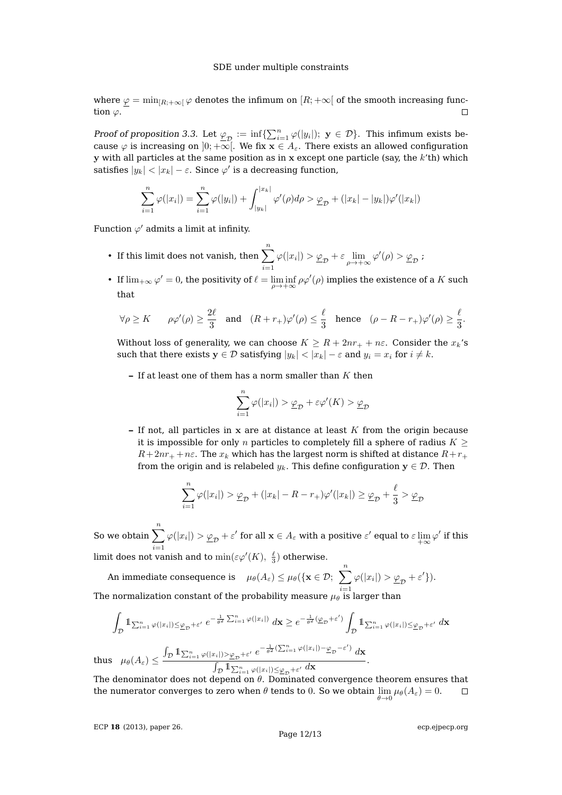where  $\varphi = \min_{[R, +\infty[} \varphi \text{ denotes the infimum on } [R, +\infty[ \text{ of the smooth increasing func-})]$ tion  $\varphi$ .  $\Box$ 

Proof of proposition [3.3.](#page-8-0) Let  $\underline{\varphi}_{\mathcal{D}} := \inf \{ \sum_{i=1}^n \varphi(|y_i|); \ y \in \mathcal{D} \}$ . This infimum exists because  $\varphi$  is increasing on  $]0; +\infty[$ . We fix  $x \in A_{\varepsilon}$ . There exists an allowed configuration  $y$  with all particles at the same position as in x except one particle (say, the  $k't$ h) which satisfies  $|y_k| < |x_k| - \varepsilon.$  Since  $\varphi'$  is a decreasing function,

$$
\sum_{i=1}^{n} \varphi(|x_i|) = \sum_{i=1}^{n} \varphi(|y_i|) + \int_{|y_k|}^{|x_k|} \varphi'(\rho) d\rho > \underline{\varphi}_{\mathcal{D}} + (|x_k| - |y_k|) \varphi'(|x_k|)
$$

Function  $\varphi'$  admits a limit at infinity.

- If this limit does not vanish, then  $\sum_{n=1}^n$  $i=1$  $\varphi(|x_i|) > \underline{\varphi}_{\mathcal{D}} + \varepsilon \lim_{\rho \to +\infty} \varphi'(\rho) > \underline{\varphi}_{\mathcal{D}};$
- If  $\lim_{+\infty} \varphi' = 0$ , the positivity of  $\ell = \liminf_{\rho \to +\infty} \rho \varphi'(\rho)$  implies the existence of a K such that

$$
\forall \rho \geq K \qquad \rho \varphi'(\rho) \geq \frac{2\ell}{3} \quad \text{and} \quad (R+r_+) \varphi'(\rho) \leq \frac{\ell}{3} \quad \text{hence} \quad (\rho-R-r_+) \varphi'(\rho) \geq \frac{\ell}{3}.
$$

Without loss of generality, we can choose  $K \ge R + 2nr_+ + n\varepsilon$ . Consider the  $x_k$ 's such that there exists  $y \in \mathcal{D}$  satisfying  $|y_k| < |x_k| - \varepsilon$  and  $y_i = x_i$  for  $i \neq k$ .

**–** If at least one of them has a norm smaller than K then

$$
\sum_{i=1}^{n} \varphi(|x_i|) > \underline{\varphi}_{\mathcal{D}} + \varepsilon \varphi'(K) > \underline{\varphi}_{\mathcal{D}}
$$

**–** If not, all particles in x are at distance at least K from the origin because it is impossible for only n particles to completely fill a sphere of radius  $K \geq$  $R+2nr_{+}+n\varepsilon$ . The  $x_k$  which has the largest norm is shifted at distance  $R+r_{+}$ from the origin and is relabeled  $y_k$ . This define configuration  $y \in \mathcal{D}$ . Then

$$
\sum_{i=1}^{n} \varphi(|x_i|) > \underline{\varphi}_{\mathcal{D}} + (|x_k| - R - r_+)\varphi'(|x_k|) \ge \underline{\varphi}_{\mathcal{D}} + \frac{\ell}{3} > \underline{\varphi}_{\mathcal{D}}
$$

So we obtain  $\sum_{n=1}^n$  $i=1$  $\varphi(|x_i|) > \underline{\varphi}_{\mathcal{D}} + \varepsilon'$  for all  $\mathbf{x} \in A_\varepsilon$  with a positive  $\varepsilon'$  equal to  $\varepsilon \lim_{+\infty} \varphi'$  if this limit does not vanish and to  $\min(\varepsilon\varphi'(K),\ \frac{\ell}{3})$  otherwise.

An immediate consequence is  $\mu_\theta(A_\varepsilon) \leq \mu_\theta(\{\mathbf{x} \in \mathcal{D}; \ \sum^n \varphi(|x_i|) > \underline{\varphi}_{\mathcal{D}} + \varepsilon'\}).$ The normalization constant of the probability measure  $\mu_\theta$  is larger than

$$
\frac{1}{2}
$$

$$
\int_{\mathcal{D}} \mathbb{1}_{\sum_{i=1}^{n} \varphi(|x_{i}|) \leq \underline{\varphi}_{\mathcal{D}} + \varepsilon'} e^{-\frac{1}{\theta^{2}} \sum_{i=1}^{n} \varphi(|x_{i}|)} d\mathbf{x} \geq e^{-\frac{1}{\theta^{2}} (\underline{\varphi}_{\mathcal{D}} + \varepsilon')} \int_{\mathcal{D}} \mathbb{1}_{\sum_{i=1}^{n} \varphi(|x_{i}|) \leq \underline{\varphi}_{\mathcal{D}} + \varepsilon'} d\mathbf{x}
$$
  
thus  $\mu_{\theta}(A_{\varepsilon}) \leq \frac{\int_{\mathcal{D}} \mathbb{1}_{\sum_{i=1}^{n} \varphi(|x_{i}|) > \underline{\varphi}_{\mathcal{D}} + \varepsilon'} e^{-\frac{1}{\theta^{2}} (\sum_{i=1}^{n} \varphi(|x_{i}|) - \underline{\varphi}_{\mathcal{D}} - \varepsilon')} d\mathbf{x}}{\int_{\mathcal{D}} \mathbb{1}_{\sum_{i=1}^{n} \varphi(|x_{i}|) \leq \underline{\varphi}_{\mathcal{D}} + \varepsilon'} d\mathbf{x}}.$ 

The denominator does not depend on  $\theta$ . Dominated convergence theorem ensures that the numerator converges to zero when  $\theta$  tends to  $0.$  So we obtain  $\lim\limits_{\theta\to 0}\mu_\theta(A_\varepsilon)=0.$  $\Box$ 

ECP **18** [\(2013\), paper 26.](http://dx.doi.org/10.1214/ECP.v18-2730)